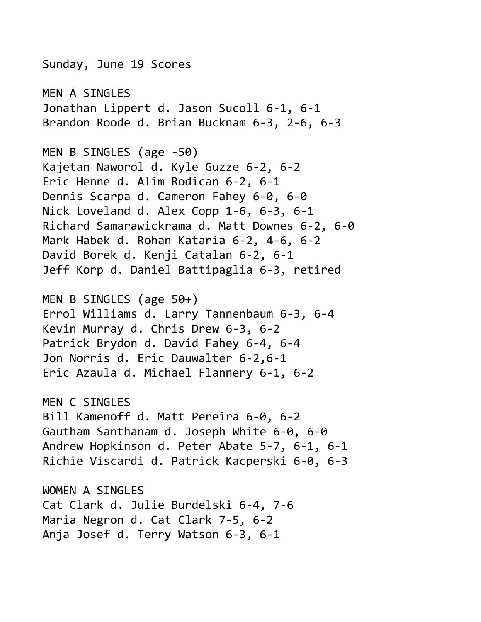Sunday, June 19 Scores MEN A SINGLES Jonathan Lippert d. Jason Sucoll 6-1, 6-1 Brandon Roode d. Brian Bucknam 6-3, 2-6, 6-3 MEN B SINGLES (age -50) Kajetan Naworol d. Kyle Guzze 6-2, 6-2 Eric Henne d. Alim Rodican 6-2, 6-1 Dennis Scarpa d. Cameron Fahey 6-0, 6-0 Nick Loveland d. Alex Copp 1-6, 6-3, 6-1 Richard Samarawickrama d. Matt Downes 6-2, 6-0 Mark Habek d. Rohan Kataria 6-2, 4-6, 6-2 David Borek d. Kenji Catalan 6-2, 6-1 Jeff Korp d. Daniel Battipaglia 6-3, retired MEN B SINGLES (age 50+) Errol Williams d. Larry Tannenbaum 6-3, 6-4 Kevin Murray d. Chris Drew 6-3, 6-2 Patrick Brydon d. David Fahey 6-4, 6-4 Jon Norris d. Eric Dauwalter 6-2,6-1 Eric Azaula d. Michael Flannery 6-1, 6-2 MEN C SINGLES Bill Kamenoff d. Matt Pereira 6-0, 6-2 Gautham Santhanam d. Joseph White 6-0, 6-0 Andrew Hopkinson d. Peter Abate 5-7, 6-1, 6-1 Richie Viscardi d. Patrick Kacperski 6-0, 6-3 WOMEN A SINGLES Cat Clark d. Julie Burdelski 6-4, 7-6 Maria Negron d. Cat Clark 7-5, 6-2 Anja Josef d. Terry Watson 6-3, 6-1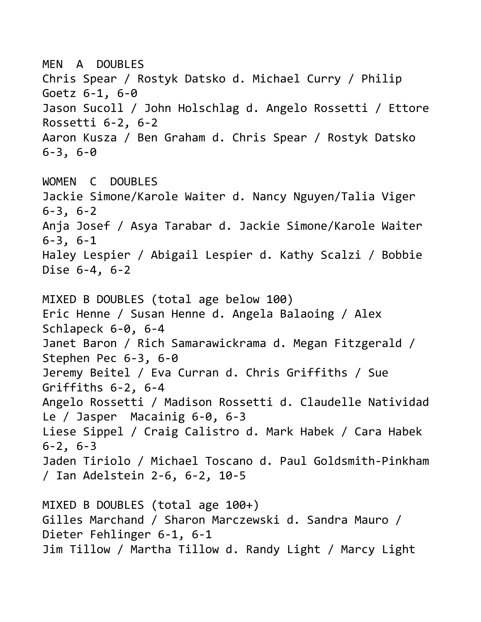MEN A DOUBLES Chris Spear / Rostyk Datsko d. Michael Curry / Philip Goetz 6-1, 6-0 Jason Sucoll / John Holschlag d. Angelo Rossetti / Ettore Rossetti 6-2, 6-2 Aaron Kusza / Ben Graham d. Chris Spear / Rostyk Datsko 6-3, 6-0 WOMEN C DOUBLES Jackie Simone/Karole Waiter d. Nancy Nguyen/Talia Viger 6-3, 6-2 Anja Josef / Asya Tarabar d. Jackie Simone/Karole Waiter 6-3, 6-1 Haley Lespier / Abigail Lespier d. Kathy Scalzi / Bobbie Dise 6-4, 6-2 MIXED B DOUBLES (total age below 100) Eric Henne / Susan Henne d. Angela Balaoing / Alex Schlapeck 6-0, 6-4 Janet Baron / Rich Samarawickrama d. Megan Fitzgerald / Stephen Pec 6-3, 6-0 Jeremy Beitel / Eva Curran d. Chris Griffiths / Sue Griffiths 6-2, 6-4 Angelo Rossetti / Madison Rossetti d. Claudelle Natividad Le / Jasper Macainig 6-0, 6-3 Liese Sippel / Craig Calistro d. Mark Habek / Cara Habek 6-2, 6-3 Jaden Tiriolo / Michael Toscano d. Paul Goldsmith-Pinkham / Ian Adelstein 2-6, 6-2, 10-5 MIXED B DOUBLES (total age 100+) Gilles Marchand / Sharon Marczewski d. Sandra Mauro / Dieter Fehlinger 6-1, 6-1 Jim Tillow / Martha Tillow d. Randy Light / Marcy Light